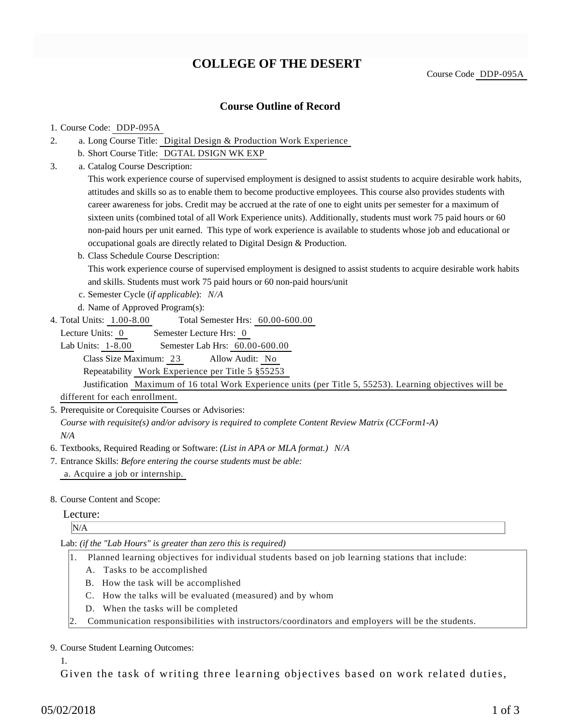# **COLLEGE OF THE DESERT**

Course Code DDP-095A

# **Course Outline of Record**

#### 1. Course Code: DDP-095A

- a. Long Course Title: Digital Design & Production Work Experience 2.
	- b. Short Course Title: DGTAL DSIGN WK EXP
- Catalog Course Description: a. 3.

This work experience course of supervised employment is designed to assist students to acquire desirable work habits, attitudes and skills so as to enable them to become productive employees. This course also provides students with career awareness for jobs. Credit may be accrued at the rate of one to eight units per semester for a maximum of sixteen units (combined total of all Work Experience units). Additionally, students must work 75 paid hours or 60 non-paid hours per unit earned. This type of work experience is available to students whose job and educational or occupational goals are directly related to Digital Design & Production.

b. Class Schedule Course Description:

This work experience course of supervised employment is designed to assist students to acquire desirable work habits and skills. Students must work 75 paid hours or 60 non-paid hours/unit

- c. Semester Cycle (*if applicable*): *N/A*
- d. Name of Approved Program(s):
- Total Semester Hrs:  $60.00-600.00$ 4. Total Units: 1.00-8.00

Lecture Units: 0 Semester Lecture Hrs: 0

Lab Units: 1-8.00 Semester Lab Hrs: 60.00-600.00 Class Size Maximum: 23 Allow Audit: No Repeatability Work Experience per Title 5 §55253

Justification Maximum of 16 total Work Experience units (per Title 5, 55253). Learning objectives will be different for each enrollment.

5. Prerequisite or Corequisite Courses or Advisories:

*Course with requisite(s) and/or advisory is required to complete Content Review Matrix (CCForm1-A) N/A*

- 6. Textbooks, Required Reading or Software: *(List in APA or MLA format.) N/A*
- Entrance Skills: *Before entering the course students must be able:* 7. a. Acquire a job or internship.
- 8. Course Content and Scope:

## Lecture:

N/A

Lab: *(if the "Lab Hours" is greater than zero this is required)*

- 1. Planned learning objectives for individual students based on job learning stations that include:
	- A. Tasks to be accomplished
	- B. How the task will be accomplished
	- C. How the talks will be evaluated (measured) and by whom
	- D. When the tasks will be completed
- 2. Communication responsibilities with instructors/coordinators and employers will be the students.

#### 9. Course Student Learning Outcomes:

1.

Given the task of writing three learning objectives based on work related duties,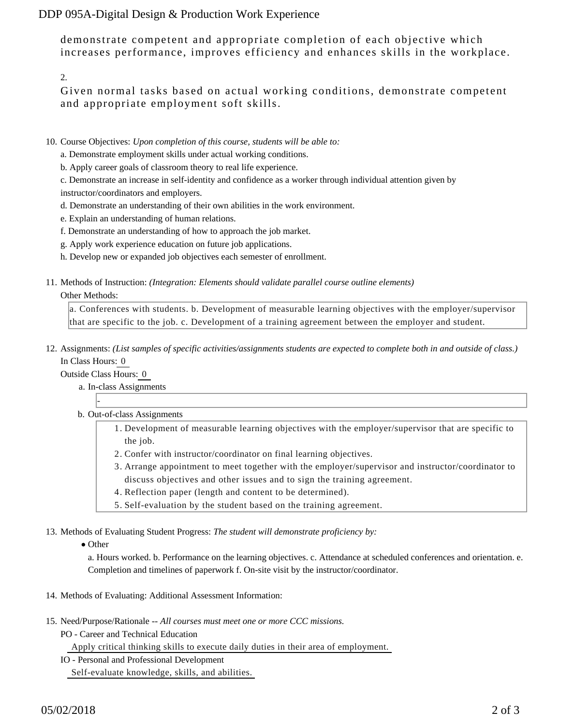DDP 095A-Digital Design & Production Work Experience

demonstrate competent and appropriate completion of each objective which increases performance, improves efficiency and enhances skills in the workplace.

2.

Given normal tasks based on actual working conditions, demonstrate competent and appropriate employment soft skills.

- 10. Course Objectives: Upon completion of this course, students will be able to:
	- a. Demonstrate employment skills under actual working conditions.
	- b. Apply career goals of classroom theory to real life experience.

c. Demonstrate an increase in self-identity and confidence as a worker through individual attention given by instructor/coordinators and employers.

- d. Demonstrate an understanding of their own abilities in the work environment.
- e. Explain an understanding of human relations.
- f. Demonstrate an understanding of how to approach the job market.
- g. Apply work experience education on future job applications.
- h. Develop new or expanded job objectives each semester of enrollment.
- 11. Methods of Instruction: *(Integration: Elements should validate parallel course outline elements)*

### Other Methods:

a. Conferences with students. b. Development of measurable learning objectives with the employer/supervisor that are specific to the job. c. Development of a training agreement between the employer and student.

12. Assignments: (List samples of specific activities/assignments students are expected to complete both in and outside of class.) In Class Hours: 0

Outside Class Hours: 0

-

- a. In-class Assignments
- b. Out-of-class Assignments
	- 1. Development of measurable learning objectives with the employer/supervisor that are specific to the job.
	- 2. Confer with instructor/coordinator on final learning objectives.
	- Arrange appointment to meet together with the employer/supervisor and instructor/coordinator to 3. discuss objectives and other issues and to sign the training agreement.
	- 4. Reflection paper (length and content to be determined).
	- 5. Self-evaluation by the student based on the training agreement.

13. Methods of Evaluating Student Progress: The student will demonstrate proficiency by:

• Other

a. Hours worked. b. Performance on the learning objectives. c. Attendance at scheduled conferences and orientation. e. Completion and timelines of paperwork f. On-site visit by the instructor/coordinator.

- 14. Methods of Evaluating: Additional Assessment Information:
- 15. Need/Purpose/Rationale -- All courses must meet one or more CCC missions.
	- PO Career and Technical Education

Apply critical thinking skills to execute daily duties in their area of employment.

IO - Personal and Professional Development

Self-evaluate knowledge, skills, and abilities.